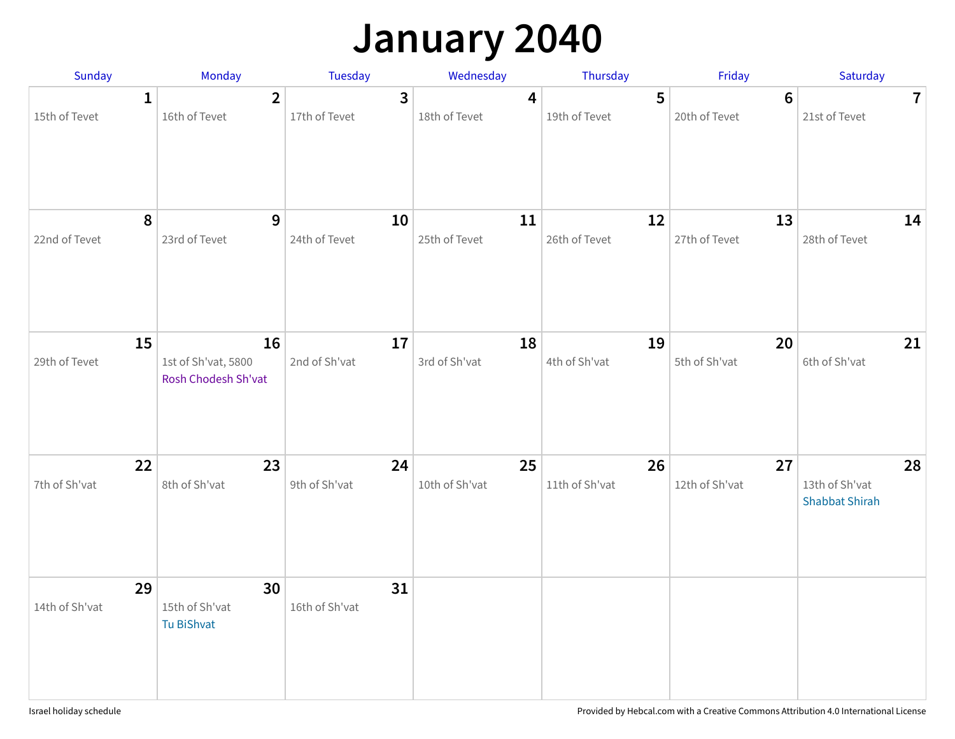### **January 2040**

| Sunday                        | Monday                                           | <b>Tuesday</b>                  | Wednesday            | Thursday             | Friday                          | Saturday                                      |
|-------------------------------|--------------------------------------------------|---------------------------------|----------------------|----------------------|---------------------------------|-----------------------------------------------|
| $\mathbf{1}$<br>15th of Tevet | $\mathbf{2}$<br>16th of Tevet                    | $\overline{3}$<br>17th of Tevet | 4<br>18th of Tevet   | 5<br>19th of Tevet   | $6\phantom{1}$<br>20th of Tevet | $\overline{7}$<br>21st of Tevet               |
| 8<br>22nd of Tevet            | 9<br>23rd of Tevet                               | 10<br>24th of Tevet             | 11<br>25th of Tevet  | 12<br>26th of Tevet  | 13<br>27th of Tevet             | 14<br>28th of Tevet                           |
| 15<br>29th of Tevet           | 16<br>1st of Sh'vat, 5800<br>Rosh Chodesh Sh'vat | 17<br>2nd of Sh'vat             | 18<br>3rd of Sh'vat  | 19<br>4th of Sh'vat  | 20<br>5th of Sh'vat             | 21<br>6th of Sh'vat                           |
| 22<br>7th of Sh'vat           | 23<br>8th of Sh'vat                              | 24<br>9th of Sh'vat             | 25<br>10th of Sh'vat | 26<br>11th of Sh'vat | 27<br>12th of Sh'vat            | 28<br>13th of Sh'vat<br><b>Shabbat Shirah</b> |
| 29<br>14th of Sh'vat          | 30<br>15th of Sh'vat<br>Tu BiShvat               | 31<br>16th of Sh'vat            |                      |                      |                                 |                                               |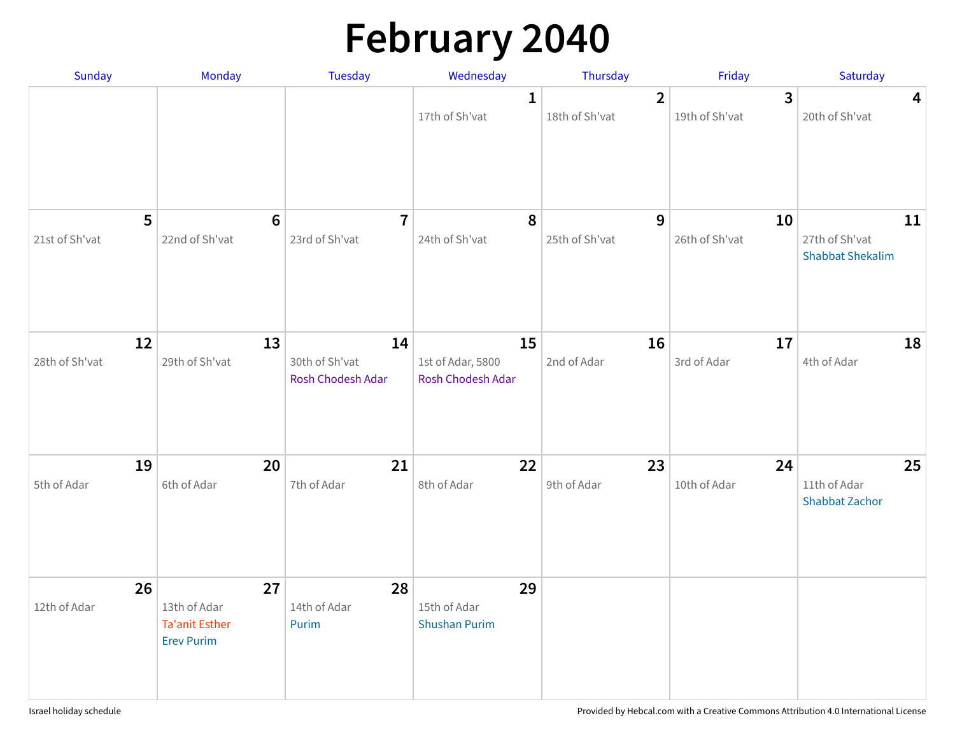# **February 2040**

| <b>Sunday</b>           | Monday                                                     | Tuesday                                   | Wednesday                                    | Thursday                         | Friday                           | Saturday                                        |
|-------------------------|------------------------------------------------------------|-------------------------------------------|----------------------------------------------|----------------------------------|----------------------------------|-------------------------------------------------|
|                         |                                                            |                                           | $\mathbf{1}$<br>17th of Sh'vat               | $\overline{2}$<br>18th of Sh'vat | $\overline{3}$<br>19th of Sh'vat | $\overline{\mathbf{4}}$<br>20th of Sh'vat       |
| 5<br>21st of Sh'vat     | $6\phantom{1}6$<br>22nd of Sh'vat                          | $\overline{7}$<br>23rd of Sh'vat          | 8<br>24th of Sh'vat                          | 9<br>25th of Sh'vat              | 10<br>26th of Sh'vat             | 11<br>27th of Sh'vat<br><b>Shabbat Shekalim</b> |
| 12<br>28th of Sh'vat    | 13<br>29th of Sh'vat                                       | 14<br>30th of Sh'vat<br>Rosh Chodesh Adar | 15<br>1st of Adar, 5800<br>Rosh Chodesh Adar | 16<br>2nd of Adar                | 17<br>3rd of Adar                | 18<br>4th of Adar                               |
| 19<br>5th of Adar<br>26 | 20<br>6th of Adar<br>27                                    | 21<br>7th of Adar<br>28                   | 22<br>8th of Adar<br>29                      | 23<br>9th of Adar                | 24<br>10th of Adar               | 25<br>11th of Adar<br><b>Shabbat Zachor</b>     |
| 12th of Adar            | 13th of Adar<br><b>Ta'anit Esther</b><br><b>Erev Purim</b> | 14th of Adar<br>Purim                     | 15th of Adar<br><b>Shushan Purim</b>         |                                  |                                  |                                                 |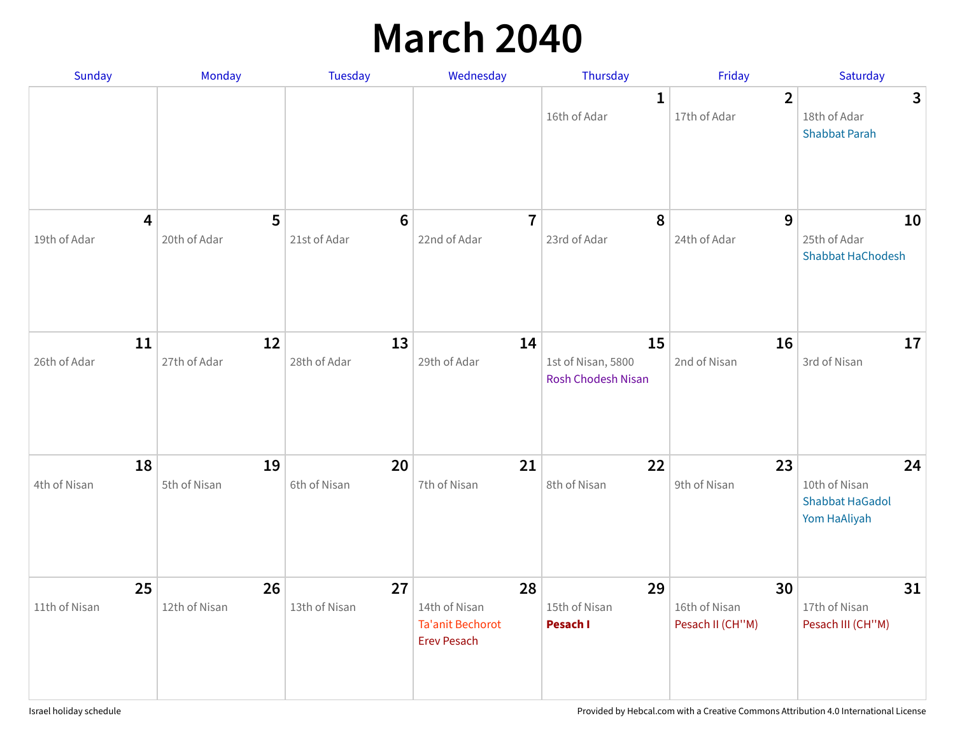### **March 2040**

| Sunday              | <b>Monday</b>       | Tuesday                         | Wednesday                                                            | Thursday                                       | Friday                                  | Saturday                                                      |
|---------------------|---------------------|---------------------------------|----------------------------------------------------------------------|------------------------------------------------|-----------------------------------------|---------------------------------------------------------------|
|                     |                     |                                 |                                                                      | 1<br>16th of Adar                              | $\overline{2}$<br>17th of Adar          | 3<br>18th of Adar<br><b>Shabbat Parah</b>                     |
| 4<br>19th of Adar   | 5<br>20th of Adar   | $6\phantom{1}6$<br>21st of Adar | $\overline{7}$<br>22nd of Adar                                       | 8<br>23rd of Adar                              | 9<br>24th of Adar                       | 10<br>25th of Adar<br><b>Shabbat HaChodesh</b>                |
| 11<br>26th of Adar  | 12<br>27th of Adar  | 13<br>28th of Adar              | 14<br>29th of Adar                                                   | 15<br>1st of Nisan, 5800<br>Rosh Chodesh Nisan | 16<br>2nd of Nisan                      | 17<br>3rd of Nisan                                            |
| 18<br>4th of Nisan  | 19<br>5th of Nisan  | 20<br>6th of Nisan              | 21<br>7th of Nisan                                                   | 22<br>8th of Nisan                             | 23<br>9th of Nisan                      | 24<br>10th of Nisan<br><b>Shabbat HaGadol</b><br>Yom HaAliyah |
| 25<br>11th of Nisan | 26<br>12th of Nisan | 27<br>13th of Nisan             | 28<br>14th of Nisan<br><b>Ta'anit Bechorot</b><br><b>Erev Pesach</b> | 29<br>15th of Nisan<br>Pesach I                | 30<br>16th of Nisan<br>Pesach II (CH"M) | 31<br>17th of Nisan<br>Pesach III (CH"M)                      |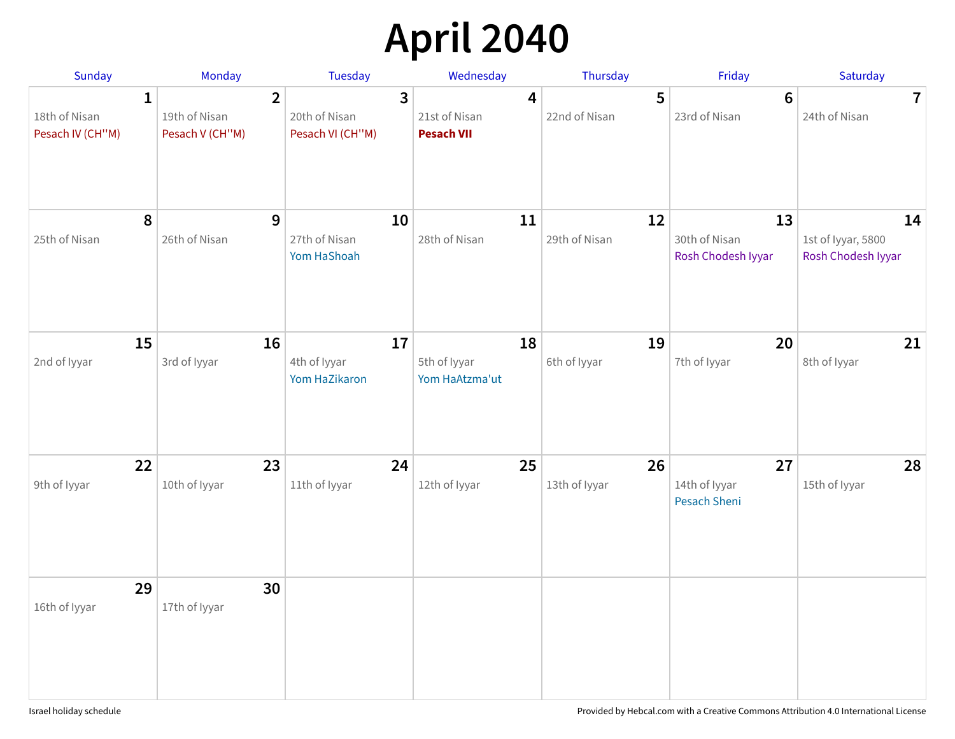# **April 2040**

| <b>Sunday</b>                                     | Monday                                             | <b>Tuesday</b>                                      | Wednesday                               | Thursday            | Friday                                     | Saturday                                       |
|---------------------------------------------------|----------------------------------------------------|-----------------------------------------------------|-----------------------------------------|---------------------|--------------------------------------------|------------------------------------------------|
| $\mathbf{1}$<br>18th of Nisan<br>Pesach IV (CH"M) | $\overline{2}$<br>19th of Nisan<br>Pesach V (CH"M) | $\overline{3}$<br>20th of Nisan<br>Pesach VI (CH"M) | 4<br>21st of Nisan<br><b>Pesach VII</b> | 5<br>22nd of Nisan  | $6\phantom{1}$<br>23rd of Nisan            | $\overline{7}$<br>24th of Nisan                |
| 8<br>25th of Nisan                                | 9<br>26th of Nisan                                 | 10<br>27th of Nisan<br>Yom HaShoah                  | 11<br>28th of Nisan                     | 12<br>29th of Nisan | 13<br>30th of Nisan<br>Rosh Chodesh Iyyar  | 14<br>1st of Iyyar, 5800<br>Rosh Chodesh Iyyar |
| 15<br>2nd of Iyyar                                | 16<br>3rd of Iyyar                                 | 17<br>4th of Iyyar<br>Yom HaZikaron                 | 18<br>5th of Iyyar<br>Yom HaAtzma'ut    | 19<br>6th of Iyyar  | 20<br>7th of Iyyar                         | 21<br>8th of Iyyar                             |
| 22<br>9th of Iyyar                                | 23<br>10th of Iyyar                                | 24<br>11th of Iyyar                                 | 25<br>12th of Iyyar                     | 26<br>13th of Iyyar | 27<br>14th of Iyyar<br><b>Pesach Sheni</b> | 28<br>15th of Iyyar                            |
| 29<br>16th of Iyyar                               | 30<br>17th of Iyyar                                |                                                     |                                         |                     |                                            |                                                |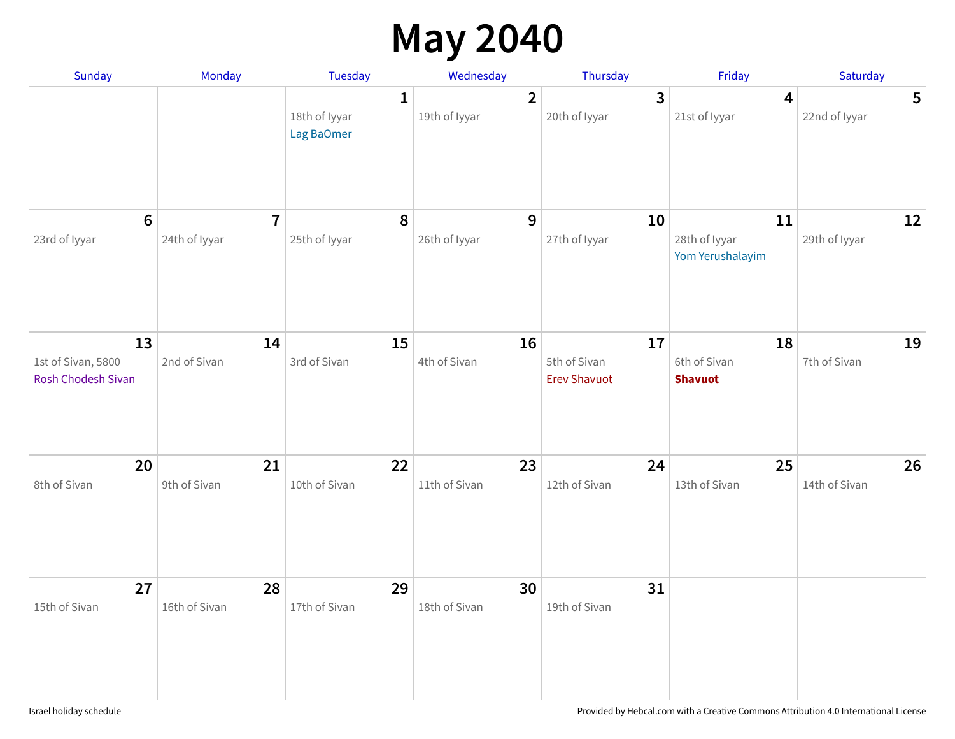### **May 2040**

| Sunday                                         | Monday                          | Tuesday                                     | Wednesday                       | Thursday                                  | Friday                                   | Saturday                        |
|------------------------------------------------|---------------------------------|---------------------------------------------|---------------------------------|-------------------------------------------|------------------------------------------|---------------------------------|
|                                                |                                 | $\mathbf{1}$<br>18th of Iyyar<br>Lag BaOmer | $\overline{2}$<br>19th of Iyyar | $\overline{3}$<br>20th of Iyyar           | $\overline{\mathbf{4}}$<br>21st of lyyar | $5\phantom{1}$<br>22nd of Iyyar |
| $6\phantom{1}$<br>23rd of Iyyar                | $\overline{7}$<br>24th of Iyyar | 8<br>25th of Iyyar                          | 9<br>26th of Iyyar              | 10<br>27th of Iyyar                       | 11<br>28th of Iyyar<br>Yom Yerushalayim  | 12<br>29th of Iyyar             |
| 13<br>1st of Sivan, 5800<br>Rosh Chodesh Sivan | 14<br>2nd of Sivan              | 15<br>3rd of Sivan                          | 16<br>4th of Sivan              | 17<br>5th of Sivan<br><b>Erev Shavuot</b> | 18<br>6th of Sivan<br><b>Shavuot</b>     | 19<br>7th of Sivan              |
| 20<br>8th of Sivan                             | 21<br>9th of Sivan              | 22<br>10th of Sivan                         | 23<br>11th of Sivan             | 24<br>12th of Sivan                       | 25<br>13th of Sivan                      | 26<br>14th of Sivan             |
| 27<br>15th of Sivan                            | 28<br>16th of Sivan             | 29<br>17th of Sivan                         | 30<br>18th of Sivan             | 31<br>19th of Sivan                       |                                          |                                 |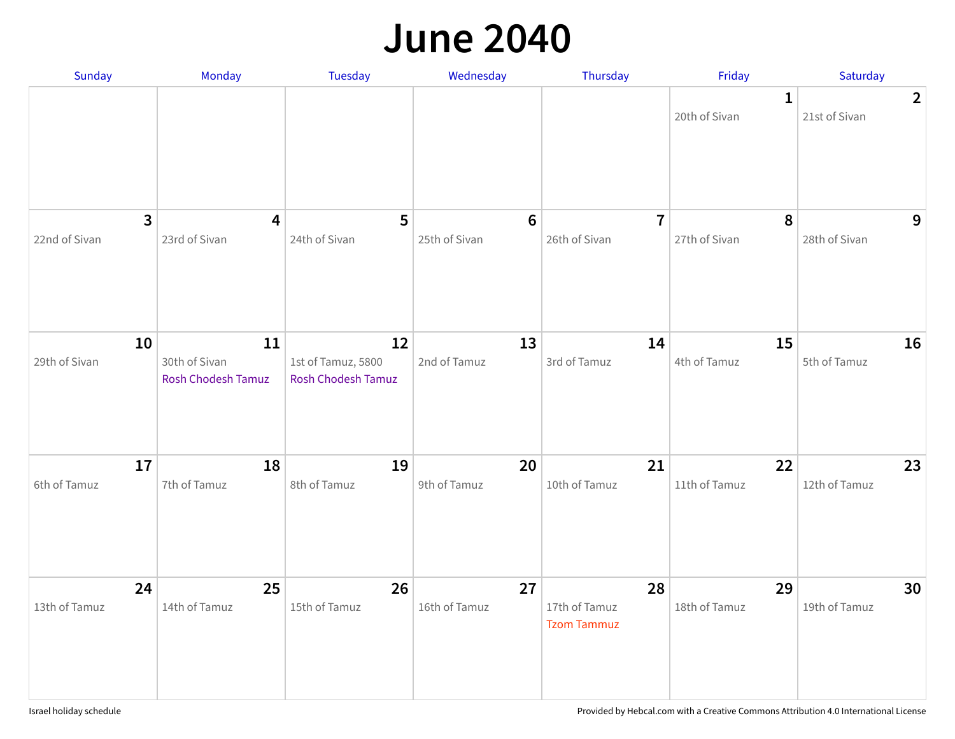#### **June 2040**

| Sunday                                   | Monday                                           | <b>Tuesday</b>                                        | Wednesday                       | Thursday                                  | Friday                        | Saturday                        |
|------------------------------------------|--------------------------------------------------|-------------------------------------------------------|---------------------------------|-------------------------------------------|-------------------------------|---------------------------------|
|                                          |                                                  |                                                       |                                 |                                           | $\mathbf{1}$<br>20th of Sivan | $\overline{2}$<br>21st of Sivan |
| $\overline{\mathbf{3}}$<br>22nd of Sivan | 4<br>23rd of Sivan                               | 5<br>24th of Sivan                                    | $6\phantom{1}$<br>25th of Sivan | $\overline{7}$<br>26th of Sivan           | 8<br>27th of Sivan            | 9<br>28th of Sivan              |
| 10<br>29th of Sivan                      | 11<br>30th of Sivan<br><b>Rosh Chodesh Tamuz</b> | 12<br>1st of Tamuz, 5800<br><b>Rosh Chodesh Tamuz</b> | 13<br>2nd of Tamuz              | 14<br>3rd of Tamuz                        | 15<br>4th of Tamuz            | 16<br>5th of Tamuz              |
| 17<br>6th of Tamuz                       | 18<br>7th of Tamuz                               | 19<br>8th of Tamuz                                    | 20<br>9th of Tamuz              | 21<br>10th of Tamuz                       | 22<br>11th of Tamuz           | 23<br>12th of Tamuz             |
| 24<br>13th of Tamuz                      | 25<br>14th of Tamuz                              | 26<br>15th of Tamuz                                   | 27<br>16th of Tamuz             | 28<br>17th of Tamuz<br><b>Tzom Tammuz</b> | 29<br>18th of Tamuz           | 30<br>19th of Tamuz             |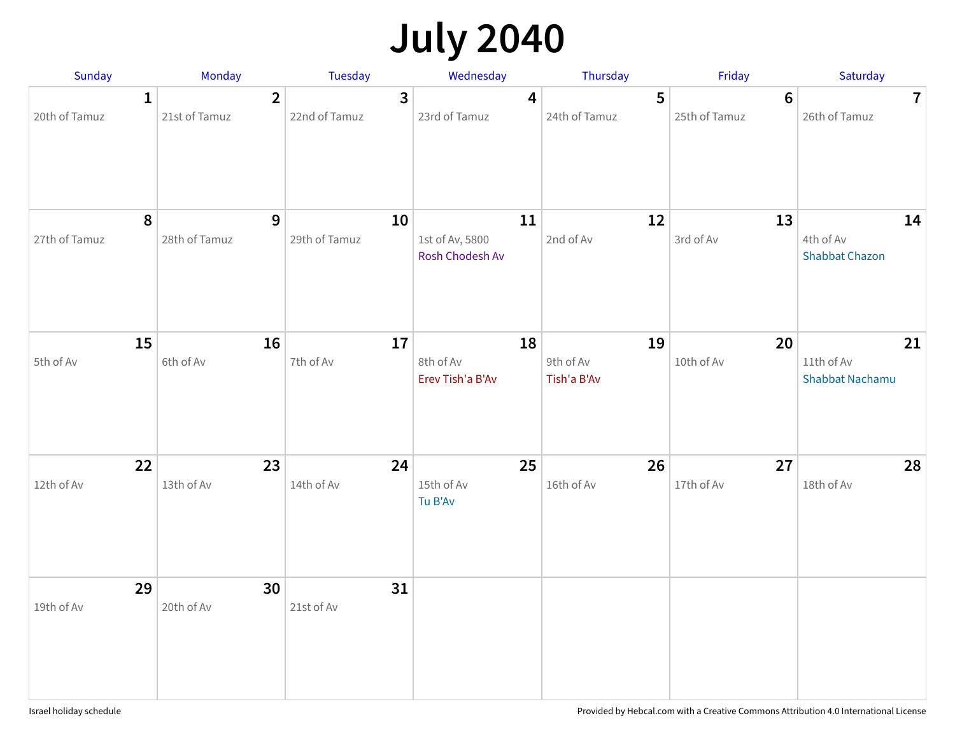# **July 2040**

| Sunday                        | <b>Monday</b>                   | Tuesday                         | Wednesday                                | Thursday                       | Friday                          | Saturday                                   |
|-------------------------------|---------------------------------|---------------------------------|------------------------------------------|--------------------------------|---------------------------------|--------------------------------------------|
| $\mathbf{1}$<br>20th of Tamuz | $\overline{2}$<br>21st of Tamuz | $\overline{3}$<br>22nd of Tamuz | 4<br>23rd of Tamuz                       | 5<br>24th of Tamuz             | $6\phantom{1}$<br>25th of Tamuz | $\mathbf{7}$<br>26th of Tamuz              |
| $\pmb{8}$<br>27th of Tamuz    | 9<br>28th of Tamuz              | 10<br>29th of Tamuz             | 11<br>1st of Av, 5800<br>Rosh Chodesh Av | 12<br>2nd of Av                | 13<br>3rd of Av                 | 14<br>4th of Av<br><b>Shabbat Chazon</b>   |
| 15<br>5th of Av               | 16<br>6th of Av                 | 17<br>7th of Av                 | 18<br>8th of Av<br>Erev Tish'a B'Av      | 19<br>9th of Av<br>Tish'a B'Av | 20<br>10th of Av                | 21<br>11th of Av<br><b>Shabbat Nachamu</b> |
| 22<br>12th of Av              | 23<br>13th of Av                | 24<br>14th of Av                | 25<br>15th of Av<br>Tu B'Av              | 26<br>16th of Av               | 27<br>17th of Av                | 28<br>18th of Av                           |
| 29<br>19th of Av              | 30<br>20th of Av                | 31<br>21st of Av                |                                          |                                |                                 |                                            |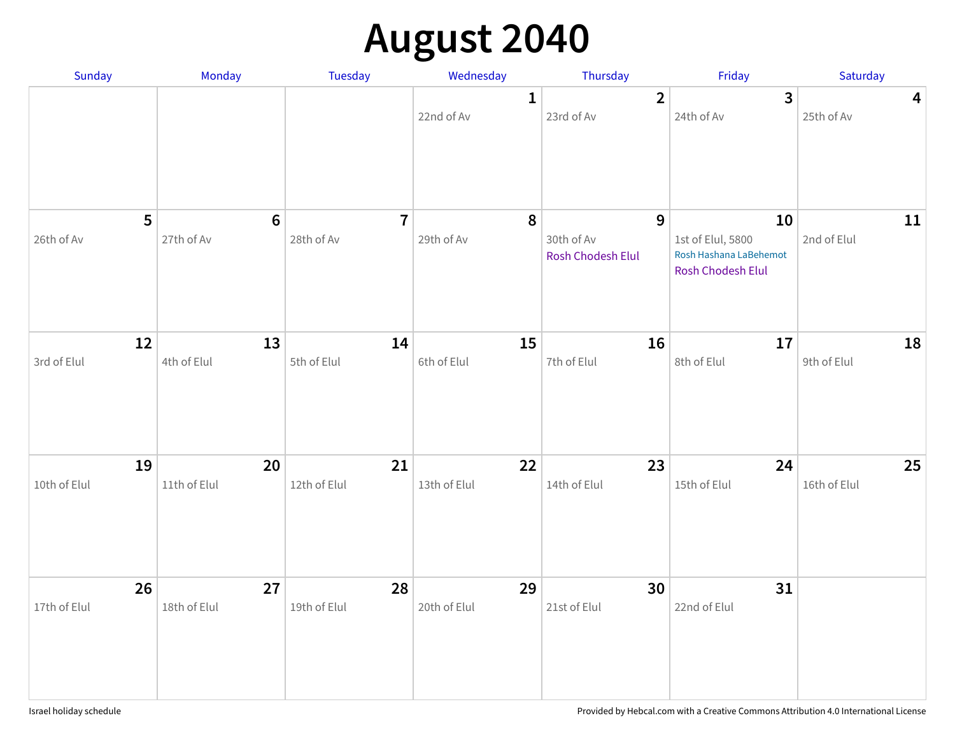## **August 2040**

| Sunday          | <b>Monday</b>   | <b>Tuesday</b>               | Wednesday                  | Thursday                                        | Friday                                                                 | Saturday                              |
|-----------------|-----------------|------------------------------|----------------------------|-------------------------------------------------|------------------------------------------------------------------------|---------------------------------------|
|                 |                 |                              | $\mathbf{1}$<br>22nd of Av | $\overline{2}$<br>23rd of Av                    | $\overline{3}$<br>24th of Av                                           | $\overline{\mathbf{4}}$<br>25th of Av |
| 5<br>26th of Av | 6<br>27th of Av | $\overline{7}$<br>28th of Av | $\pmb{8}$<br>29th of Av    | $\mathbf{9}$<br>30th of Av<br>Rosh Chodesh Elul | 10<br>1st of Elul, 5800<br>Rosh Hashana LaBehemot<br>Rosh Chodesh Elul | 11<br>2nd of Elul                     |
| 12              | 13              | 14                           | 15                         | 16                                              | 17                                                                     | 18                                    |
| 3rd of Elul     | 4th of Elul     | 5th of Elul                  | 6th of Elul                | 7th of Elul                                     | 8th of Elul                                                            | 9th of Elul                           |
| 19              | 20              | 21                           | 22                         | 23                                              | 24                                                                     | 25                                    |
| 10th of Elul    | 11th of Elul    | 12th of Elul                 | 13th of Elul               | 14th of Elul                                    | 15th of Elul                                                           | 16th of Elul                          |
| 26              | 27              | 28                           | 29                         | 30                                              | 31                                                                     |                                       |
| 17th of Elul    | 18th of Elul    | 19th of Elul                 | 20th of Elul               | 21st of Elul                                    | 22nd of Elul                                                           |                                       |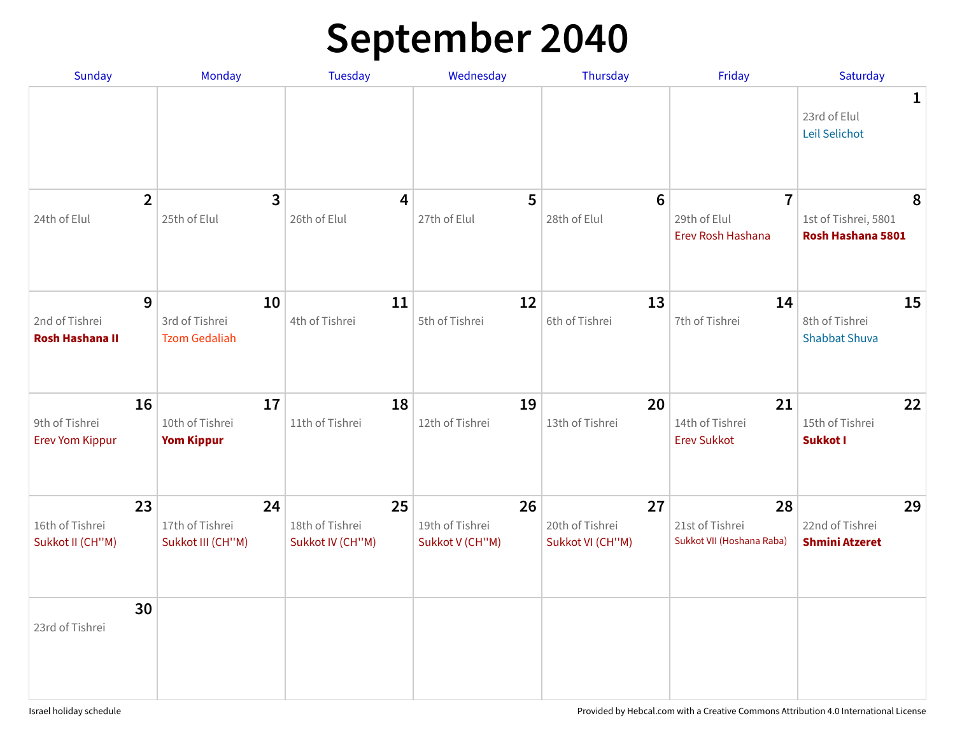### **September 2040**

| <b>Sunday</b>                                  | Monday                                       | <b>Tuesday</b>                            | Wednesday                                | Thursday                                  | Friday                                              | Saturday                                       |
|------------------------------------------------|----------------------------------------------|-------------------------------------------|------------------------------------------|-------------------------------------------|-----------------------------------------------------|------------------------------------------------|
|                                                |                                              |                                           |                                          |                                           |                                                     | 1<br>23rd of Elul<br>Leil Selichot             |
| $\overline{2}$<br>24th of Elul                 | $\overline{\mathbf{3}}$<br>25th of Elul      | 4<br>26th of Elul                         | 5<br>27th of Elul                        | $6\phantom{1}6$<br>28th of Elul           | $\overline{7}$<br>29th of Elul<br>Erev Rosh Hashana | 8<br>1st of Tishrei, 5801<br>Rosh Hashana 5801 |
| 9<br>2nd of Tishrei<br><b>Rosh Hashana II</b>  | 10<br>3rd of Tishrei<br><b>Tzom Gedaliah</b> | 11<br>4th of Tishrei                      | 12<br>5th of Tishrei                     | 13<br>6th of Tishrei                      | 14<br>7th of Tishrei                                | 15<br>8th of Tishrei<br><b>Shabbat Shuva</b>   |
| 16<br>9th of Tishrei<br><b>Erev Yom Kippur</b> | 17<br>10th of Tishrei<br><b>Yom Kippur</b>   | 18<br>11th of Tishrei                     | 19<br>12th of Tishrei                    | 20<br>13th of Tishrei                     | 21<br>14th of Tishrei<br><b>Erev Sukkot</b>         | 22<br>15th of Tishrei<br>Sukkot I              |
| 23<br>16th of Tishrei<br>Sukkot II (CH"M)      | 24<br>17th of Tishrei<br>Sukkot III (CH"M)   | 25<br>18th of Tishrei<br>Sukkot IV (CH"M) | 26<br>19th of Tishrei<br>Sukkot V (CH"M) | 27<br>20th of Tishrei<br>Sukkot VI (CH"M) | 28<br>21st of Tishrei<br>Sukkot VII (Hoshana Raba)  | 29<br>22nd of Tishrei<br><b>Shmini Atzeret</b> |
| 30<br>23rd of Tishrei                          |                                              |                                           |                                          |                                           |                                                     |                                                |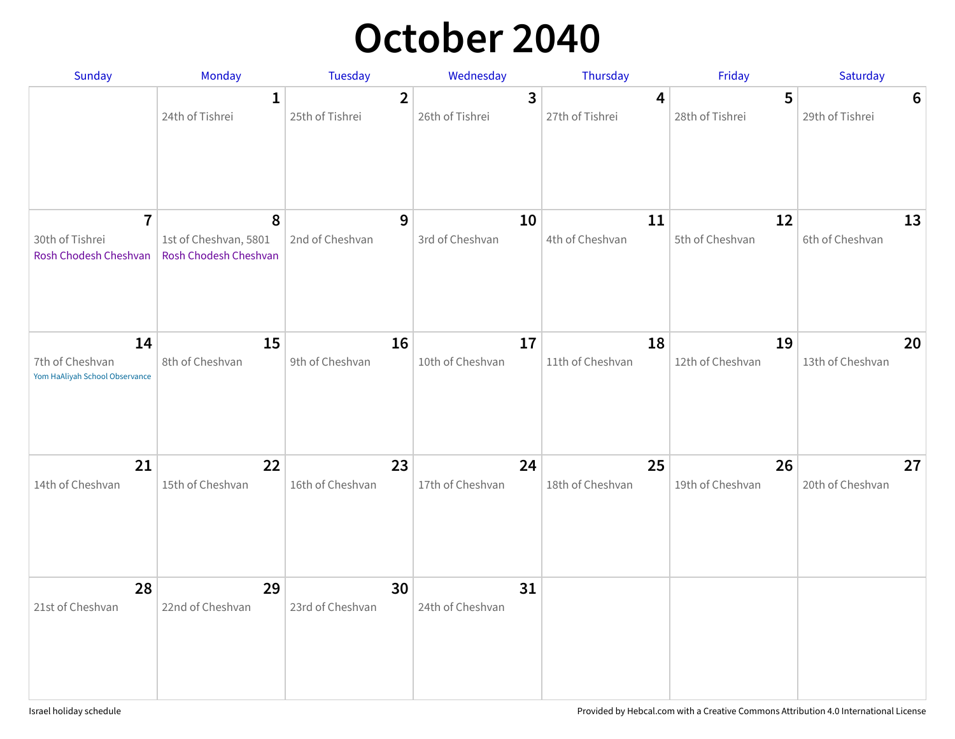### **October 2040**

| Sunday                                                     | <b>Monday</b>                                       | Tuesday                           | Wednesday              | Thursday               | Friday                 | Saturday               |
|------------------------------------------------------------|-----------------------------------------------------|-----------------------------------|------------------------|------------------------|------------------------|------------------------|
|                                                            | $\mathbf 1$<br>24th of Tishrei                      | $\overline{2}$<br>25th of Tishrei | 3<br>26th of Tishrei   | 4<br>27th of Tishrei   | 5<br>28th of Tishrei   | 6<br>29th of Tishrei   |
| $\overline{1}$<br>30th of Tishrei<br>Rosh Chodesh Cheshvan | 8<br>1st of Cheshvan, 5801<br>Rosh Chodesh Cheshvan | 9<br>2nd of Cheshvan              | 10<br>3rd of Cheshvan  | 11<br>4th of Cheshvan  | 12<br>5th of Cheshvan  | 13<br>6th of Cheshvan  |
| 14<br>7th of Cheshvan<br>Yom HaAliyah School Observance    | 15<br>8th of Cheshvan                               | 16<br>9th of Cheshvan             | 17<br>10th of Cheshvan | 18<br>11th of Cheshvan | 19<br>12th of Cheshvan | 20<br>13th of Cheshvan |
| 21<br>14th of Cheshvan                                     | 22<br>15th of Cheshvan                              | 23<br>16th of Cheshvan            | 24<br>17th of Cheshvan | 25<br>18th of Cheshvan | 26<br>19th of Cheshvan | 27<br>20th of Cheshvan |
| 28<br>21st of Cheshvan                                     | 29<br>22nd of Cheshvan                              | 30<br>23rd of Cheshvan            | 31<br>24th of Cheshvan |                        |                        |                        |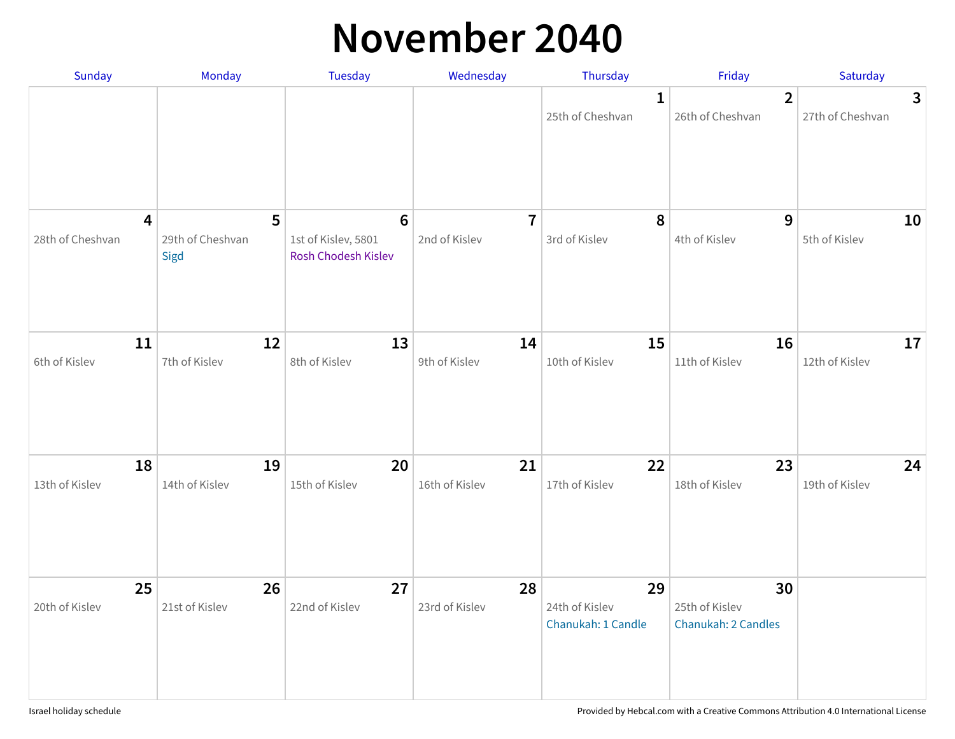#### **November 2040**

| Sunday                                      | Monday                        | <b>Tuesday</b>                                                | Wednesday                       | Thursday                                   | Friday                                      | Saturday              |
|---------------------------------------------|-------------------------------|---------------------------------------------------------------|---------------------------------|--------------------------------------------|---------------------------------------------|-----------------------|
|                                             |                               |                                                               |                                 | $\mathbf{1}$<br>25th of Cheshvan           | $\overline{2}$<br>26th of Cheshvan          | 3<br>27th of Cheshvan |
| $\overline{\mathbf{4}}$<br>28th of Cheshvan | 5<br>29th of Cheshvan<br>Sigd | $6\phantom{1}6$<br>1st of Kislev, 5801<br>Rosh Chodesh Kislev | $\overline{7}$<br>2nd of Kislev | 8<br>3rd of Kislev                         | 9<br>4th of Kislev                          | 10<br>5th of Kislev   |
| 11<br>6th of Kislev                         | 12<br>7th of Kislev           | 13<br>8th of Kislev                                           | 14<br>9th of Kislev             | 15<br>10th of Kislev                       | 16<br>11th of Kislev                        | 17<br>12th of Kislev  |
| 18<br>13th of Kislev                        | 19<br>14th of Kislev          | 20<br>15th of Kislev                                          | 21<br>16th of Kislev            | 22<br>17th of Kislev                       | 23<br>18th of Kislev                        | 24<br>19th of Kislev  |
| 25<br>20th of Kislev                        | 26<br>21st of Kislev          | 27<br>22nd of Kislev                                          | 28<br>23rd of Kislev            | 29<br>24th of Kislev<br>Chanukah: 1 Candle | 30<br>25th of Kislev<br>Chanukah: 2 Candles |                       |